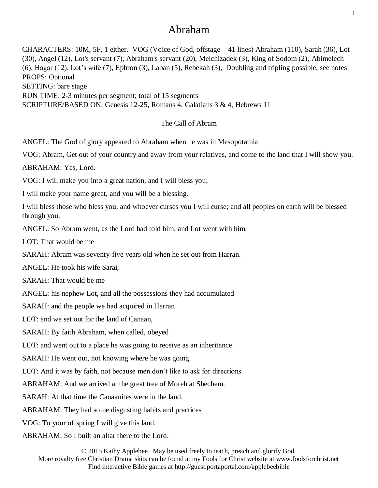# Abraham

CHARACTERS: 10M, 5F, 1 either. VOG (Voice of God, offstage – 41 lines) Abraham (110), Sarah (36), Lot (30), Angel (12), Lot's servant (7), Abraham's servant (20), Melchizadek (3), King of Sodom (2), Abimelech (6), Hagar (12), Lot's wife (7), Ephron (3), Laban (5), Rebekah (3), Doubling and tripling possible, see notes PROPS: Optional SETTING: bare stage RUN TIME: 2-3 minutes per segment; total of 15 segments SCRIPTURE/BASED ON: Genesis 12-25, Romans 4, Galatians 3 & 4, Hebrews 11

# The Call of Abram

ANGEL: The God of glory appeared to Abraham when he was in Mesopotamia

VOG: Abram, Get out of your country and away from your relatives, and come to the land that I will show you.

ABRAHAM: Yes, Lord.

VOG: I will make you into a great nation, and I will bless you;

I will make your name great, and you will be a blessing.

I will bless those who bless you, and whoever curses you I will curse; and all peoples on earth will be blessed through you.

ANGEL: So Abram went, as the Lord had told him; and Lot went with him.

LOT: That would be me

SARAH: Abram was seventy-five years old when he set out from Harran.

ANGEL: He took his wife Sarai,

SARAH: That would be me

ANGEL: his nephew Lot, and all the possessions they had accumulated

SARAH: and the people we had acquired in Harran

LOT: and we set out for the land of Canaan,

SARAH: By faith Abraham, when called, obeyed

LOT: and went out to a place he was going to receive as an inheritance.

SARAH: He went out, not knowing where he was going.

LOT: And it was by faith, not because men don't like to ask for directions

ABRAHAM: And we arrived at the great tree of Moreh at Shechem.

SARAH: At that time the Canaanites were in the land.

ABRAHAM: They had some disgusting habits and practices

VOG: To your offspring I will give this land.

ABRAHAM: So I built an altar there to the Lord.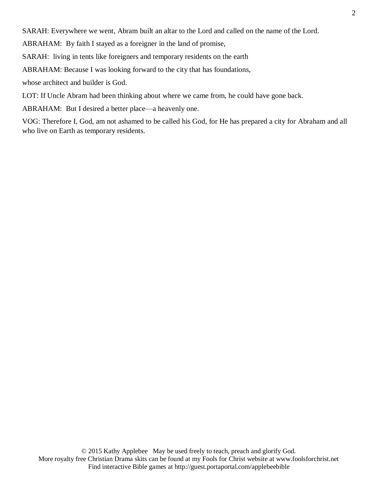SARAH: Everywhere we went, Abram built an altar to the Lord and called on the name of the Lord.

ABRAHAM: By faith I stayed as a foreigner in the land of promise,

SARAH: living in tents like foreigners and temporary residents on the earth

ABRAHAM: Because I was looking forward to the city that has foundations,

whose architect and builder is God.

LOT: If Uncle Abram had been thinking about where we came from, he could have gone back.

ABRAHAM: But I desired a better place—a heavenly one.

VOG: Therefore I, God, am not ashamed to be called his God, for He has prepared a city for Abraham and all who live on Earth as temporary residents.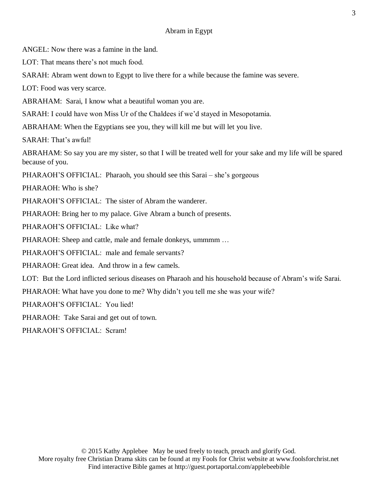# Abram in Egypt

ANGEL: Now there was a famine in the land.

LOT: That means there's not much food.

SARAH: Abram went down to Egypt to live there for a while because the famine was severe.

LOT: Food was very scarce.

ABRAHAM: Sarai, I know what a beautiful woman you are.

SARAH: I could have won Miss Ur of the Chaldees if we'd stayed in Mesopotamia.

ABRAHAM: When the Egyptians see you, they will kill me but will let you live.

SARAH: That's awful!

ABRAHAM: So say you are my sister, so that I will be treated well for your sake and my life will be spared because of you.

PHARAOH'S OFFICIAL: Pharaoh, you should see this Sarai – she's gorgeous

PHARAOH: Who is she?

PHARAOH'S OFFICIAL: The sister of Abram the wanderer.

PHARAOH: Bring her to my palace. Give Abram a bunch of presents.

PHARAOH'S OFFICIAL: Like what?

PHARAOH: Sheep and cattle, male and female donkeys, ummmm ...

PHARAOH'S OFFICIAL: male and female servants?

PHARAOH: Great idea. And throw in a few camels.

LOT: But the Lord inflicted serious diseases on Pharaoh and his household because of Abram's wife Sarai.

PHARAOH: What have you done to me? Why didn't you tell me she was your wife?

PHARAOH'S OFFICIAL: You lied!

PHARAOH: Take Sarai and get out of town.

PHARAOH'S OFFICIAL: Scram!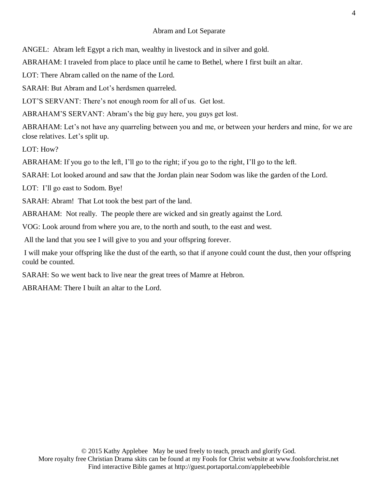# Abram and Lot Separate

ANGEL: Abram left Egypt a rich man, wealthy in livestock and in silver and gold.

ABRAHAM: I traveled from place to place until he came to Bethel, where I first built an altar.

LOT: There Abram called on the name of the Lord.

SARAH: But Abram and Lot's herdsmen quarreled.

LOT'S SERVANT: There's not enough room for all of us. Get lost.

ABRAHAM'S SERVANT: Abram's the big guy here, you guys get lost.

ABRAHAM: Let's not have any quarreling between you and me, or between your herders and mine, for we are close relatives. Let's split up.

LOT: How?

ABRAHAM: If you go to the left, I'll go to the right; if you go to the right, I'll go to the left.

SARAH: Lot looked around and saw that the Jordan plain near Sodom was like the garden of the Lord.

LOT: I'll go east to Sodom. Bye!

SARAH: Abram! That Lot took the best part of the land.

ABRAHAM: Not really. The people there are wicked and sin greatly against the Lord.

VOG: Look around from where you are, to the north and south, to the east and west.

All the land that you see I will give to you and your offspring forever.

I will make your offspring like the dust of the earth, so that if anyone could count the dust, then your offspring could be counted.

SARAH: So we went back to live near the great trees of Mamre at Hebron.

ABRAHAM: There I built an altar to the Lord.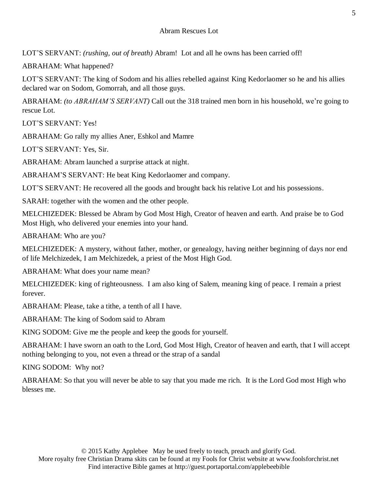LOT'S SERVANT: *(rushing, out of breath)* Abram! Lot and all he owns has been carried off!

ABRAHAM: What happened?

LOT'S SERVANT: The king of Sodom and his allies rebelled against King Kedorlaomer so he and his allies declared war on Sodom, Gomorrah, and all those guys.

ABRAHAM: *(to ABRAHAM'S SERVANT)* Call out the 318 trained men born in his household, we're going to rescue Lot.

LOT'S SERVANT: Yes!

ABRAHAM: Go rally my allies Aner, Eshkol and Mamre

LOT'S SERVANT: Yes, Sir.

ABRAHAM: Abram launched a surprise attack at night.

ABRAHAM'S SERVANT: He beat King Kedorlaomer and company.

LOT'S SERVANT: He recovered all the goods and brought back his relative Lot and his possessions.

SARAH: together with the women and the other people.

MELCHIZEDEK: Blessed be Abram by God Most High, Creator of heaven and earth. And praise be to God Most High, who delivered your enemies into your hand.

ABRAHAM: Who are you?

MELCHIZEDEK: A mystery, without father, mother, or genealogy, having neither beginning of days nor end of life Melchizedek, I am Melchizedek, a priest of the Most High God.

ABRAHAM: What does your name mean?

MELCHIZEDEK: king of righteousness. I am also king of Salem, meaning king of peace. I remain a priest forever.

ABRAHAM: Please, take a tithe, a tenth of all I have.

ABRAHAM: The king of Sodom said to Abram

KING SODOM: Give me the people and keep the goods for yourself.

ABRAHAM: I have sworn an oath to the Lord, God Most High, Creator of heaven and earth, that I will accept nothing belonging to you, not even a thread or the strap of a sandal

KING SODOM: Why not?

ABRAHAM: So that you will never be able to say that you made me rich. It is the Lord God most High who blesses me.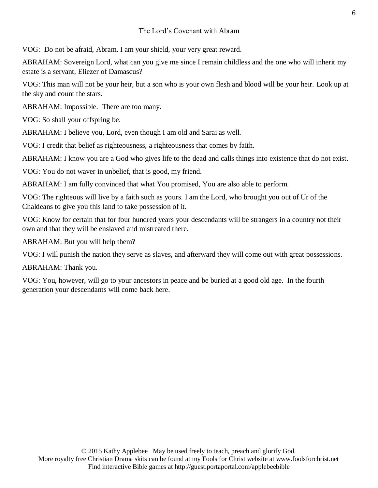### The Lord's Covenant with Abram

VOG: Do not be afraid, Abram. I am your shield, your very great reward.

ABRAHAM: Sovereign Lord, what can you give me since I remain childless and the one who will inherit my estate is a servant, Eliezer of Damascus?

VOG: This man will not be your heir, but a son who is your own flesh and blood will be your heir. Look up at the sky and count the stars.

ABRAHAM: Impossible. There are too many.

VOG: So shall your offspring be.

ABRAHAM: I believe you, Lord, even though I am old and Sarai as well.

VOG: I credit that belief as righteousness, a righteousness that comes by faith.

ABRAHAM: I know you are a God who gives life to the dead and calls things into existence that do not exist.

VOG: You do not waver in unbelief, that is good, my friend.

ABRAHAM: I am fully convinced that what You promised, You are also able to perform.

VOG: The righteous will live by a faith such as yours. I am the Lord, who brought you out of Ur of the Chaldeans to give you this land to take possession of it.

VOG: Know for certain that for four hundred years your descendants will be strangers in a country not their own and that they will be enslaved and mistreated there.

ABRAHAM: But you will help them?

VOG: I will punish the nation they serve as slaves, and afterward they will come out with great possessions.

ABRAHAM: Thank you.

VOG: You, however, will go to your ancestors in peace and be buried at a good old age. In the fourth generation your descendants will come back here.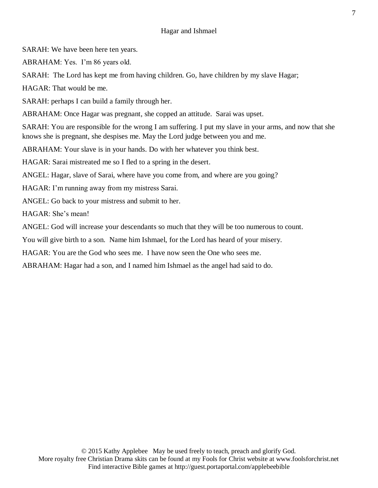SARAH: We have been here ten years.

ABRAHAM: Yes. I'm 86 years old.

SARAH: The Lord has kept me from having children. Go, have children by my slave Hagar;

HAGAR: That would be me.

SARAH: perhaps I can build a family through her.

ABRAHAM: Once Hagar was pregnant, she copped an attitude. Sarai was upset.

SARAH: You are responsible for the wrong I am suffering. I put my slave in your arms, and now that she knows she is pregnant, she despises me. May the Lord judge between you and me.

ABRAHAM: Your slave is in your hands. Do with her whatever you think best.

HAGAR: Sarai mistreated me so I fled to a spring in the desert.

ANGEL: Hagar, slave of Sarai, where have you come from, and where are you going?

HAGAR: I'm running away from my mistress Sarai.

ANGEL: Go back to your mistress and submit to her.

HAGAR: She's mean!

ANGEL: God will increase your descendants so much that they will be too numerous to count.

You will give birth to a son. Name him Ishmael, for the Lord has heard of your misery.

HAGAR: You are the God who sees me. I have now seen the One who sees me.

ABRAHAM: Hagar had a son, and I named him Ishmael as the angel had said to do.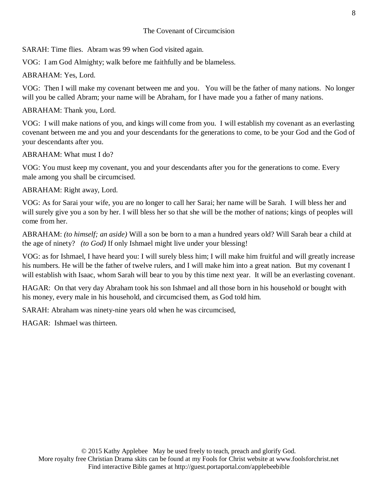SARAH: Time flies. Abram was 99 when God visited again.

VOG: I am God Almighty; walk before me faithfully and be blameless.

ABRAHAM: Yes, Lord.

VOG: Then I will make my covenant between me and you. You will be the father of many nations. No longer will you be called Abram; your name will be Abraham, for I have made you a father of many nations.

ABRAHAM: Thank you, Lord.

VOG: I will make nations of you, and kings will come from you. I will establish my covenant as an everlasting covenant between me and you and your descendants for the generations to come, to be your God and the God of your descendants after you.

ABRAHAM: What must I do?

VOG: You must keep my covenant, you and your descendants after you for the generations to come. Every male among you shall be circumcised.

ABRAHAM: Right away, Lord.

VOG: As for Sarai your wife, you are no longer to call her Sarai; her name will be Sarah. I will bless her and will surely give you a son by her. I will bless her so that she will be the mother of nations; kings of peoples will come from her.

ABRAHAM: *(to himself; an aside)* Will a son be born to a man a hundred years old? Will Sarah bear a child at the age of ninety? *(to God)* If only Ishmael might live under your blessing!

VOG: as for Ishmael, I have heard you: I will surely bless him; I will make him fruitful and will greatly increase his numbers. He will be the father of twelve rulers, and I will make him into a great nation. But my covenant I will establish with Isaac, whom Sarah will bear to you by this time next year. It will be an everlasting covenant.

HAGAR: On that very day Abraham took his son Ishmael and all those born in his household or bought with his money, every male in his household, and circumcised them, as God told him.

SARAH: Abraham was ninety-nine years old when he was circumcised,

HAGAR: Ishmael was thirteen.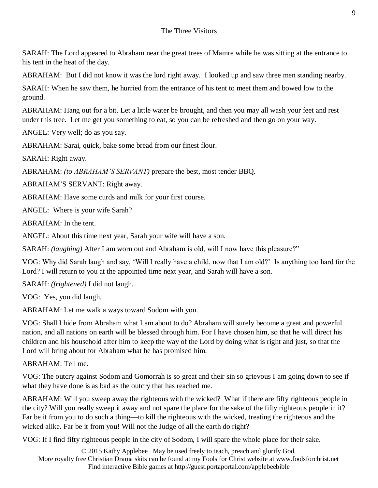SARAH: The Lord appeared to Abraham near the great trees of Mamre while he was sitting at the entrance to his tent in the heat of the day.

ABRAHAM: But I did not know it was the lord right away. I looked up and saw three men standing nearby.

SARAH: When he saw them, he hurried from the entrance of his tent to meet them and bowed low to the ground.

ABRAHAM: Hang out for a bit. Let a little water be brought, and then you may all wash your feet and rest under this tree. Let me get you something to eat, so you can be refreshed and then go on your way.

ANGEL: Very well; do as you say.

ABRAHAM: Sarai, quick, bake some bread from our finest flour.

SARAH: Right away.

ABRAHAM: *(to ABRAHAM'S SERVANT)* prepare the best, most tender BBQ.

ABRAHAM'S SERVANT: Right away.

ABRAHAM: Have some curds and milk for your first course.

ANGEL: Where is your wife Sarah?

ABRAHAM: In the tent.

ANGEL: About this time next year, Sarah your wife will have a son.

SARAH: *(laughing)* After I am worn out and Abraham is old, will I now have this pleasure?"

VOG: Why did Sarah laugh and say, 'Will I really have a child, now that I am old?' Is anything too hard for the Lord? I will return to you at the appointed time next year, and Sarah will have a son.

SARAH: *(frightened)* I did not laugh.

VOG: Yes, you did laugh.

ABRAHAM: Let me walk a ways toward Sodom with you.

VOG: Shall I hide from Abraham what I am about to do? Abraham will surely become a great and powerful nation, and all nations on earth will be blessed through him. For I have chosen him, so that he will direct his children and his household after him to keep the way of the Lord by doing what is right and just, so that the Lord will bring about for Abraham what he has promised him.

ABRAHAM: Tell me.

VOG: The outcry against Sodom and Gomorrah is so great and their sin so grievous I am going down to see if what they have done is as bad as the outcry that has reached me.

ABRAHAM: Will you sweep away the righteous with the wicked? What if there are fifty righteous people in the city? Will you really sweep it away and not spare the place for the sake of the fifty righteous people in it? Far be it from you to do such a thing—to kill the righteous with the wicked, treating the righteous and the wicked alike. Far be it from you! Will not the Judge of all the earth do right?

VOG: If I find fifty righteous people in the city of Sodom, I will spare the whole place for their sake.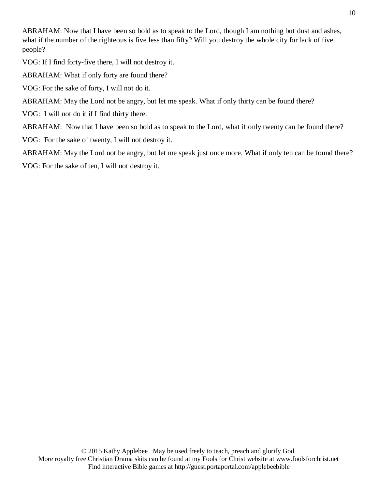ABRAHAM: Now that I have been so bold as to speak to the Lord, though I am nothing but dust and ashes, what if the number of the righteous is five less than fifty? Will you destroy the whole city for lack of five people?

VOG: If I find forty-five there, I will not destroy it.

ABRAHAM: What if only forty are found there?

VOG: For the sake of forty, I will not do it.

ABRAHAM: May the Lord not be angry, but let me speak. What if only thirty can be found there?

VOG: I will not do it if I find thirty there.

ABRAHAM: Now that I have been so bold as to speak to the Lord, what if only twenty can be found there?

VOG: For the sake of twenty, I will not destroy it.

ABRAHAM: May the Lord not be angry, but let me speak just once more. What if only ten can be found there? VOG: For the sake of ten, I will not destroy it.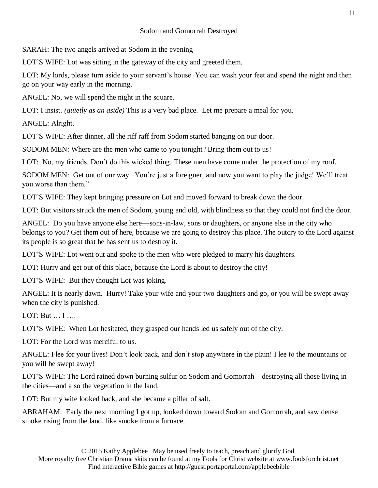# Sodom and Gomorrah Destroyed

SARAH: The two angels arrived at Sodom in the evening

LOT'S WIFE: Lot was sitting in the gateway of the city and greeted them.

LOT: My lords, please turn aside to your servant's house. You can wash your feet and spend the night and then go on your way early in the morning.

ANGEL: No, we will spend the night in the square.

LOT: I insist. *(quietly as an aside)* This is a very bad place. Let me prepare a meal for you.

ANGEL: Alright.

LOT'S WIFE: After dinner, all the riff raff from Sodom started banging on our door.

SODOM MEN: Where are the men who came to you tonight? Bring them out to us!

LOT: No, my friends. Don't do this wicked thing. These men have come under the protection of my roof.

SODOM MEN: Get out of our way. You're just a foreigner, and now you want to play the judge! We'll treat you worse than them."

LOT'S WIFE: They kept bringing pressure on Lot and moved forward to break down the door.

LOT: But visitors struck the men of Sodom, young and old, with blindness so that they could not find the door.

ANGEL: Do you have anyone else here—sons-in-law, sons or daughters, or anyone else in the city who belongs to you? Get them out of here, because we are going to destroy this place. The outcry to the Lord against its people is so great that he has sent us to destroy it.

LOT'S WIFE: Lot went out and spoke to the men who were pledged to marry his daughters.

LOT: Hurry and get out of this place, because the Lord is about to destroy the city!

LOT'S WIFE: But they thought Lot was joking.

ANGEL: It is nearly dawn. Hurry! Take your wife and your two daughters and go, or you will be swept away when the city is punished.

LOT: But … I ….

LOT'S WIFE: When Lot hesitated, they grasped our hands led us safely out of the city.

LOT: For the Lord was merciful to us.

ANGEL: Flee for your lives! Don't look back, and don't stop anywhere in the plain! Flee to the mountains or you will be swept away!

LOT'S WIFE: The Lord rained down burning sulfur on Sodom and Gomorrah—destroying all those living in the cities—and also the vegetation in the land.

LOT: But my wife looked back, and she became a pillar of salt.

ABRAHAM: Early the next morning I got up, looked down toward Sodom and Gomorrah, and saw dense smoke rising from the land, like smoke from a furnace.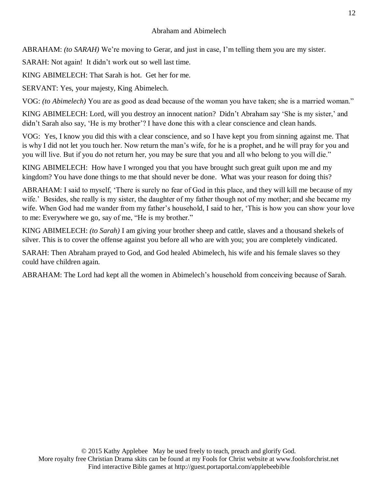# Abraham and Abimelech

ABRAHAM: *(to SARAH)* We're moving to Gerar, and just in case, I'm telling them you are my sister.

SARAH: Not again! It didn't work out so well last time.

KING ABIMELECH: That Sarah is hot. Get her for me.

SERVANT: Yes, your majesty, King Abimelech.

VOG: *(to Abimelech)* You are as good as dead because of the woman you have taken; she is a married woman."

KING ABIMELECH: Lord, will you destroy an innocent nation? Didn't Abraham say 'She is my sister,' and didn't Sarah also say, 'He is my brother'? I have done this with a clear conscience and clean hands.

VOG: Yes, I know you did this with a clear conscience, and so I have kept you from sinning against me. That is why I did not let you touch her. Now return the man's wife, for he is a prophet, and he will pray for you and you will live. But if you do not return her, you may be sure that you and all who belong to you will die."

KING ABIMELECH: How have I wronged you that you have brought such great guilt upon me and my kingdom? You have done things to me that should never be done. What was your reason for doing this?

ABRAHAM: I said to myself, 'There is surely no fear of God in this place, and they will kill me because of my wife.' Besides, she really is my sister, the daughter of my father though not of my mother; and she became my wife. When God had me wander from my father's household, I said to her, 'This is how you can show your love to me: Everywhere we go, say of me, "He is my brother."

KING ABIMELECH: *(to Sarah)* I am giving your brother sheep and cattle, slaves and a thousand shekels of silver. This is to cover the offense against you before all who are with you; you are completely vindicated.

SARAH: Then Abraham prayed to God, and God healed Abimelech, his wife and his female slaves so they could have children again.

ABRAHAM: The Lord had kept all the women in Abimelech's household from conceiving because of Sarah.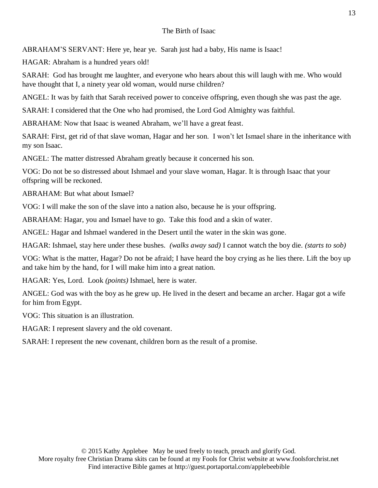# The Birth of Isaac

ABRAHAM'S SERVANT: Here ye, hear ye. Sarah just had a baby, His name is Isaac!

HAGAR: Abraham is a hundred years old!

SARAH: God has brought me laughter, and everyone who hears about this will laugh with me. Who would have thought that I, a ninety year old woman, would nurse children?

ANGEL: It was by faith that Sarah received power to conceive offspring, even though she was past the age.

SARAH: I considered that the One who had promised, the Lord God Almighty was faithful.

ABRAHAM: Now that Isaac is weaned Abraham, we'll have a great feast.

SARAH: First, get rid of that slave woman, Hagar and her son. I won't let Ismael share in the inheritance with my son Isaac.

ANGEL: The matter distressed Abraham greatly because it concerned his son.

VOG: Do not be so distressed about Ishmael and your slave woman, Hagar. It is through Isaac that your offspring will be reckoned.

ABRAHAM: But what about Ismael?

VOG: I will make the son of the slave into a nation also, because he is your offspring.

ABRAHAM: Hagar, you and Ismael have to go. Take this food and a skin of water.

ANGEL: Hagar and Ishmael wandered in the Desert until the water in the skin was gone.

HAGAR: Ishmael, stay here under these bushes. *(walks away sad)* I cannot watch the boy die. *(starts to sob)*

VOG: What is the matter, Hagar? Do not be afraid; I have heard the boy crying as he lies there. Lift the boy up and take him by the hand, for I will make him into a great nation.

HAGAR: Yes, Lord. Look *(points)* Ishmael, here is water.

ANGEL: God was with the boy as he grew up. He lived in the desert and became an archer. Hagar got a wife for him from Egypt.

VOG: This situation is an illustration.

HAGAR: I represent slavery and the old covenant.

SARAH: I represent the new covenant, children born as the result of a promise.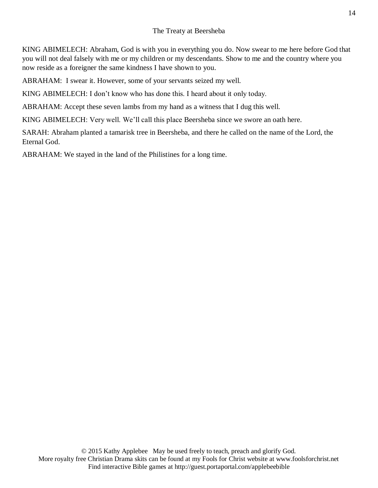# The Treaty at Beersheba

KING ABIMELECH: Abraham, God is with you in everything you do. Now swear to me here before God that you will not deal falsely with me or my children or my descendants. Show to me and the country where you now reside as a foreigner the same kindness I have shown to you.

ABRAHAM: I swear it. However, some of your servants seized my well.

KING ABIMELECH: I don't know who has done this. I heard about it only today.

ABRAHAM: Accept these seven lambs from my hand as a witness that I dug this well.

KING ABIMELECH: Very well. We'll call this place Beersheba since we swore an oath here.

SARAH: Abraham planted a tamarisk tree in Beersheba, and there he called on the name of the Lord, the Eternal God.

ABRAHAM: We stayed in the land of the Philistines for a long time.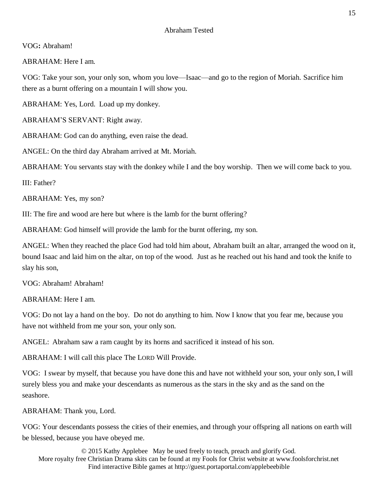# VOG**:** Abraham!

ABRAHAM: Here I am.

VOG: Take your son, your only son, whom you love—Isaac—and go to the region of Moriah. Sacrifice him there as a burnt offering on a mountain I will show you.

ABRAHAM: Yes, Lord. Load up my donkey.

ABRAHAM'S SERVANT: Right away.

ABRAHAM: God can do anything, even raise the dead.

ANGEL: On the third day Abraham arrived at Mt. Moriah.

ABRAHAM: You servants stay with the donkey while I and the boy worship. Then we will come back to you.

III: Father?

ABRAHAM: Yes, my son?

III: The fire and wood are here but where is the lamb for the burnt offering?

ABRAHAM: God himself will provide the lamb for the burnt offering, my son.

ANGEL: When they reached the place God had told him about, Abraham built an altar, arranged the wood on it, bound Isaac and laid him on the altar, on top of the wood. Just as he reached out his hand and took the knife to slay his son,

VOG: Abraham! Abraham!

ABRAHAM: Here I am.

VOG: Do not lay a hand on the boy. Do not do anything to him. Now I know that you fear me, because you have not withheld from me your son, your only son.

ANGEL: Abraham saw a ram caught by its horns and sacrificed it instead of his son.

ABRAHAM: I will call this place The LORD Will Provide.

VOG: I swear by myself, that because you have done this and have not withheld your son, your only son, I will surely bless you and make your descendants as numerous as the stars in the sky and as the sand on the seashore.

ABRAHAM: Thank you, Lord.

VOG: Your descendants possess the cities of their enemies, and through your offspring all nations on earth will be blessed, because you have obeyed me.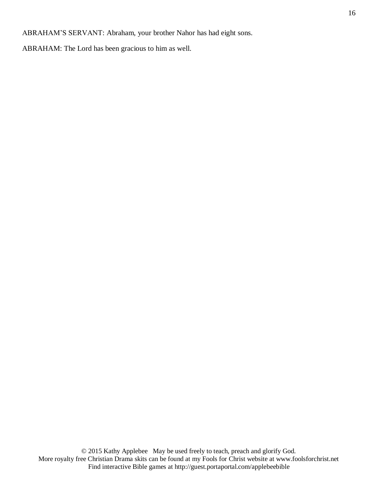ABRAHAM'S SERVANT: Abraham, your brother Nahor has had eight sons.

ABRAHAM: The Lord has been gracious to him as well.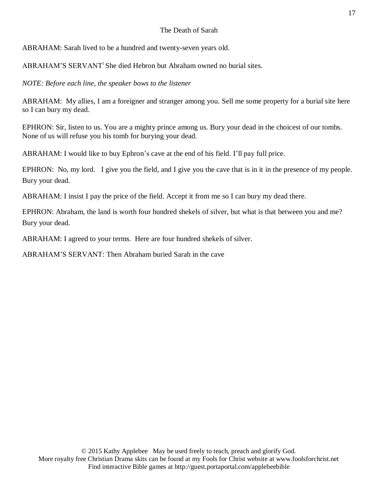#### The Death of Sarah

ABRAHAM: Sarah lived to be a hundred and twenty-seven years old.

ABRAHAM'S SERVANT**:** She died Hebron but Abraham owned no burial sites.

*NOTE: Before each line, the speaker bows to the listener*

ABRAHAM: My allies, I am a foreigner and stranger among you. Sell me some property for a burial site here so I can bury my dead.

EPHRON: Sir, listen to us. You are a mighty prince among us. Bury your dead in the choicest of our tombs. None of us will refuse you his tomb for burying your dead.

ABRAHAM: I would like to buy Ephron's cave at the end of his field. I'll pay full price.

EPHRON: No, my lord. I give you the field, and I give you the cave that is in it in the presence of my people. Bury your dead.

ABRAHAM: I insist I pay the price of the field. Accept it from me so I can bury my dead there.

EPHRON: Abraham, the land is worth four hundred shekels of silver, but what is that between you and me? Bury your dead.

ABRAHAM: I agreed to your terms. Here are four hundred shekels of silver.

ABRAHAM'S SERVANT: Then Abraham buried Sarah in the cave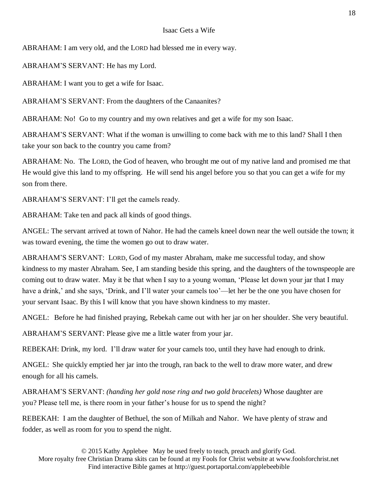#### Isaac Gets a Wife

ABRAHAM: I am very old, and the LORD had blessed me in every way.

ABRAHAM'S SERVANT: He has my Lord.

ABRAHAM: I want you to get a wife for Isaac.

ABRAHAM'S SERVANT: From the daughters of the Canaanites?

ABRAHAM: No! Go to my country and my own relatives and get a wife for my son Isaac.

ABRAHAM'S SERVANT: What if the woman is unwilling to come back with me to this land? Shall I then take your son back to the country you came from?

ABRAHAM: No. The LORD, the God of heaven, who brought me out of my native land and promised me that He would give this land to my offspring. He will send his angel before you so that you can get a wife for my son from there.

ABRAHAM'S SERVANT: I'll get the camels ready.

ABRAHAM: Take ten and pack all kinds of good things.

ANGEL: The servant arrived at town of Nahor. He had the camels kneel down near the well outside the town; it was toward evening, the time the women go out to draw water.

ABRAHAM'S SERVANT: LORD, God of my master Abraham, make me successful today, and show kindness to my master Abraham. See, I am standing beside this spring, and the daughters of the townspeople are coming out to draw water. May it be that when I say to a young woman, 'Please let down your jar that I may have a drink,' and she says, 'Drink, and I'll water your camels too'—let her be the one you have chosen for your servant Isaac. By this I will know that you have shown kindness to my master.

ANGEL: Before he had finished praying, Rebekah came out with her jar on her shoulder. She very beautiful.

ABRAHAM'S SERVANT: Please give me a little water from your jar.

REBEKAH: Drink, my lord. I'll draw water for your camels too, until they have had enough to drink.

ANGEL: She quickly emptied her jar into the trough, ran back to the well to draw more water, and drew enough for all his camels.

ABRAHAM'S SERVANT: *(handing her gold nose ring and two gold bracelets)* Whose daughter are you? Please tell me, is there room in your father's house for us to spend the night?

REBEKAH: I am the daughter of Bethuel, the son of Milkah and Nahor. We have plenty of straw and fodder, as well as room for you to spend the night.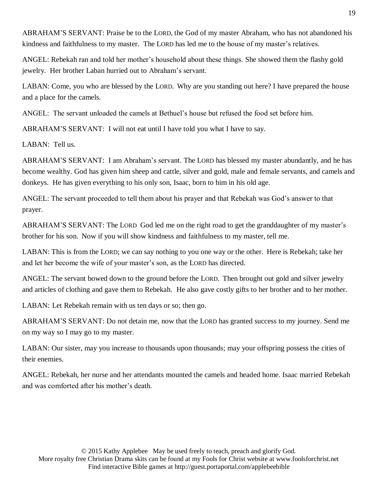ABRAHAM'S SERVANT: Praise be to the LORD, the God of my master Abraham, who has not abandoned his kindness and faithfulness to my master. The LORD has led me to the house of my master's relatives.

ANGEL: Rebekah ran and told her mother's household about these things. She showed them the flashy gold jewelry. Her brother Laban hurried out to Abraham's servant.

LABAN: Come, you who are blessed by the LORD. Why are you standing out here? I have prepared the house and a place for the camels.

ANGEL: The servant unloaded the camels at Bethuel's house but refused the food set before him.

ABRAHAM'S SERVANT: I will not eat until I have told you what I have to say.

LABAN: Tell us.

ABRAHAM'S SERVANT: I am Abraham's servant. The LORD has blessed my master abundantly, and he has become wealthy. God has given him sheep and cattle, silver and gold, male and female servants, and camels and donkeys. He has given everything to his only son, Isaac, born to him in his old age.

ANGEL: The servant proceeded to tell them about his prayer and that Rebekah was God's answer to that prayer.

ABRAHAM'S SERVANT: The LORD God led me on the right road to get the granddaughter of my master's brother for his son. Now if you will show kindness and faithfulness to my master, tell me.

LABAN: This is from the LORD; we can say nothing to you one way or the other. Here is Rebekah; take her and let her become the wife of your master's son, as the LORD has directed.

ANGEL: The servant bowed down to the ground before the LORD. Then brought out gold and silver jewelry and articles of clothing and gave them to Rebekah. He also gave costly gifts to her brother and to her mother.

LABAN: Let Rebekah remain with us ten days or so; then go.

ABRAHAM'S SERVANT: Do not detain me, now that the LORD has granted success to my journey. Send me on my way so I may go to my master.

LABAN: Our sister, may you increase to thousands upon thousands; may your offspring possess the cities of their enemies.

ANGEL: Rebekah, her nurse and her attendants mounted the camels and headed home. Isaac married Rebekah and was comforted after his mother's death.